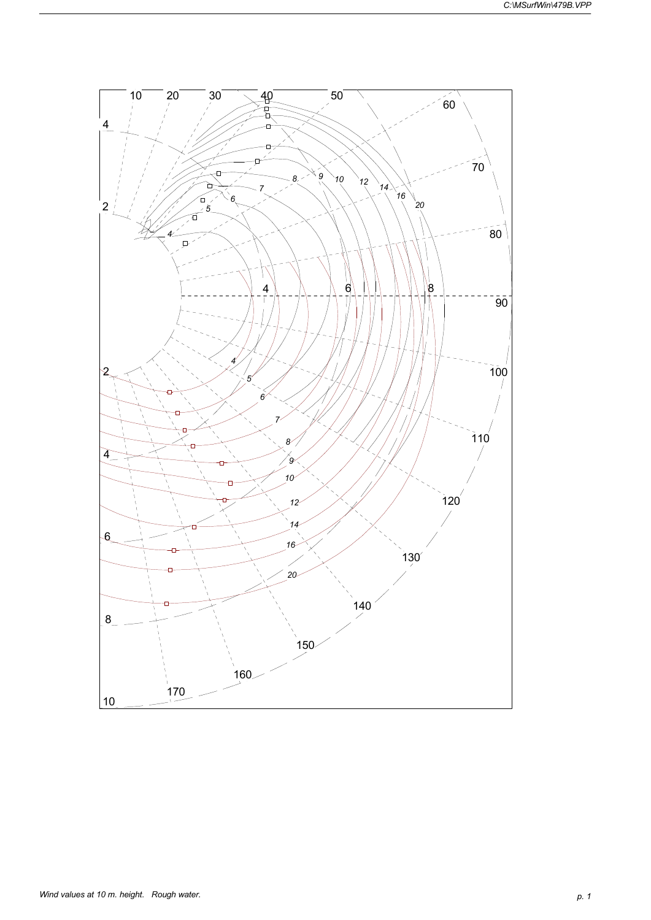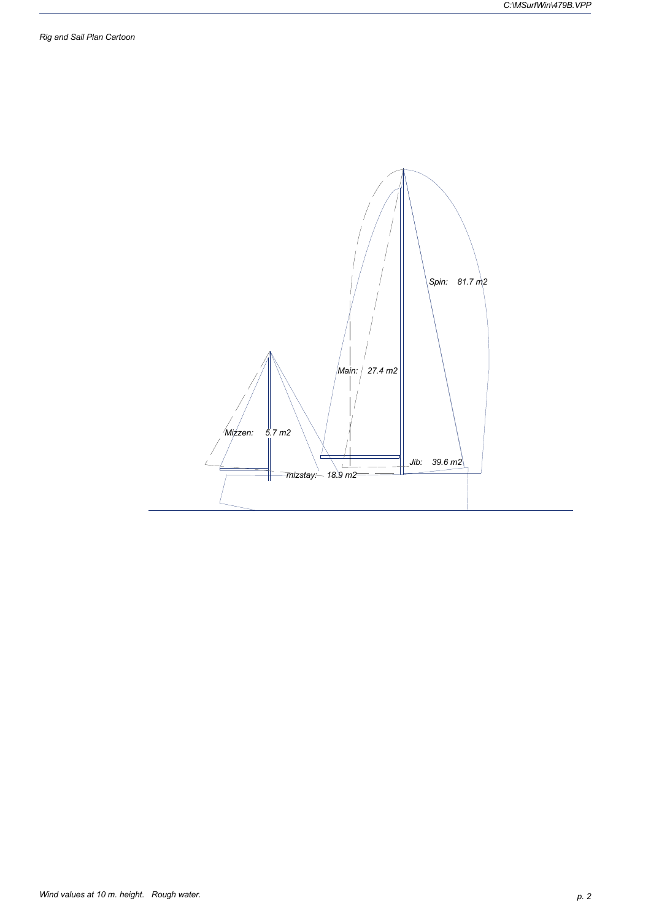*Rig and Sail Plan Cartoon*

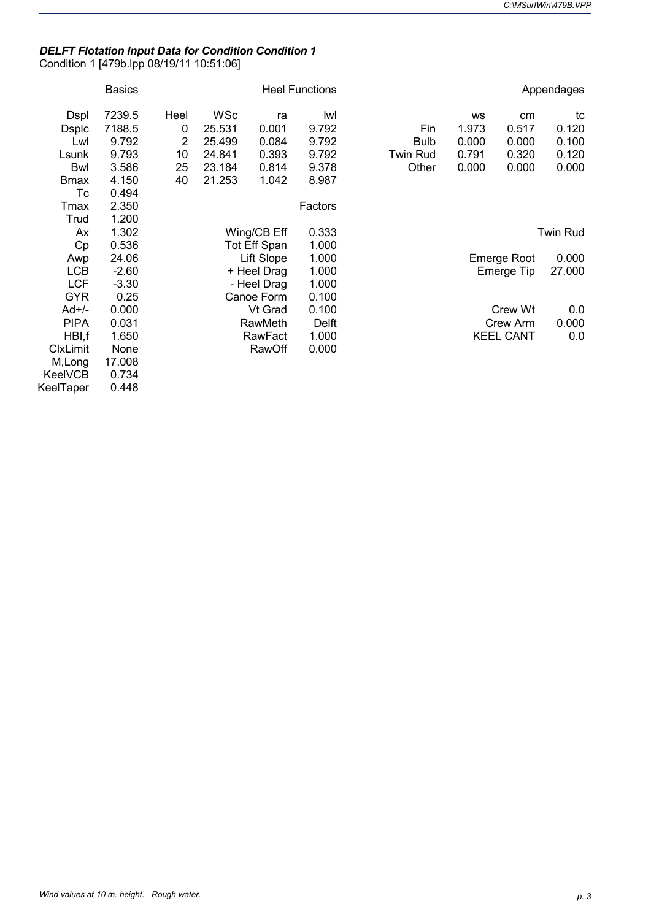## *DELFT Flotation Input Data for Condition Condition 1* Condition 1 [479b.lpp 08/19/11 10:51:06]

|                 | <b>Basics</b> |                |            |              | <b>Heel Functions</b> |                 |           |                    | Appendages      |
|-----------------|---------------|----------------|------------|--------------|-----------------------|-----------------|-----------|--------------------|-----------------|
| <b>Dspl</b>     | 7239.5        | Heel           | <b>WSc</b> | ra           | lwl                   |                 | <b>WS</b> | cm                 | tc              |
| <b>Dsplc</b>    | 7188.5        | 0              | 25.531     | 0.001        | 9.792                 | Fin             | 1.973     | 0.517              | 0.120           |
| Lwl             | 9.792         | $\overline{2}$ | 25.499     | 0.084        | 9.792                 | <b>Bulb</b>     | 0.000     | 0.000              | 0.100           |
| Lsunk           | 9.793         | 10             | 24.841     | 0.393        | 9.792                 | <b>Twin Rud</b> | 0.791     | 0.320              | 0.120           |
| <b>Bwl</b>      | 3.586         | 25             | 23.184     | 0.814        | 9.378                 | Other           | 0.000     | 0.000              | 0.000           |
| <b>Bmax</b>     | 4.150         | 40             | 21.253     | 1.042        | 8.987                 |                 |           |                    |                 |
| Тc              | 0.494         |                |            |              |                       |                 |           |                    |                 |
| Tmax            | 2.350         |                |            |              | Factors               |                 |           |                    |                 |
| Trud            | 1.200         |                |            |              |                       |                 |           |                    |                 |
| Ax              | 1.302         |                |            | Wing/CB Eff  | 0.333                 |                 |           |                    | <b>Twin Rud</b> |
| Cp              | 0.536         |                |            | Tot Eff Span | 1.000                 |                 |           |                    |                 |
| Awp             | 24.06         |                |            | Lift Slope   | 1.000                 |                 |           | <b>Emerge Root</b> | 0.000           |
| <b>LCB</b>      | $-2.60$       |                |            | + Heel Drag  | 1.000                 |                 |           | Emerge Tip         | 27.000          |
| <b>LCF</b>      | $-3.30$       |                |            | - Heel Drag  | 1.000                 |                 |           |                    |                 |
| <b>GYR</b>      | 0.25          |                |            | Canoe Form   | 0.100                 |                 |           |                    |                 |
| Ad+/-           | 0.000         |                |            | Vt Grad      | 0.100                 |                 |           | Crew Wt            | 0.0             |
| <b>PIPA</b>     | 0.031         |                |            | RawMeth      | Delft                 |                 |           | Crew Arm           | 0.000           |
| HBI,f           | 1.650         |                |            | RawFact      | 1.000                 |                 |           | <b>KEEL CANT</b>   | 0.0             |
| <b>ClxLimit</b> | None          |                |            | RawOff       | 0.000                 |                 |           |                    |                 |
| M, Long         | 17.008        |                |            |              |                       |                 |           |                    |                 |
| <b>KeelVCB</b>  | 0.734         |                |            |              |                       |                 |           |                    |                 |
| KeelTaper       | 0.448         |                |            |              |                       |                 |           |                    |                 |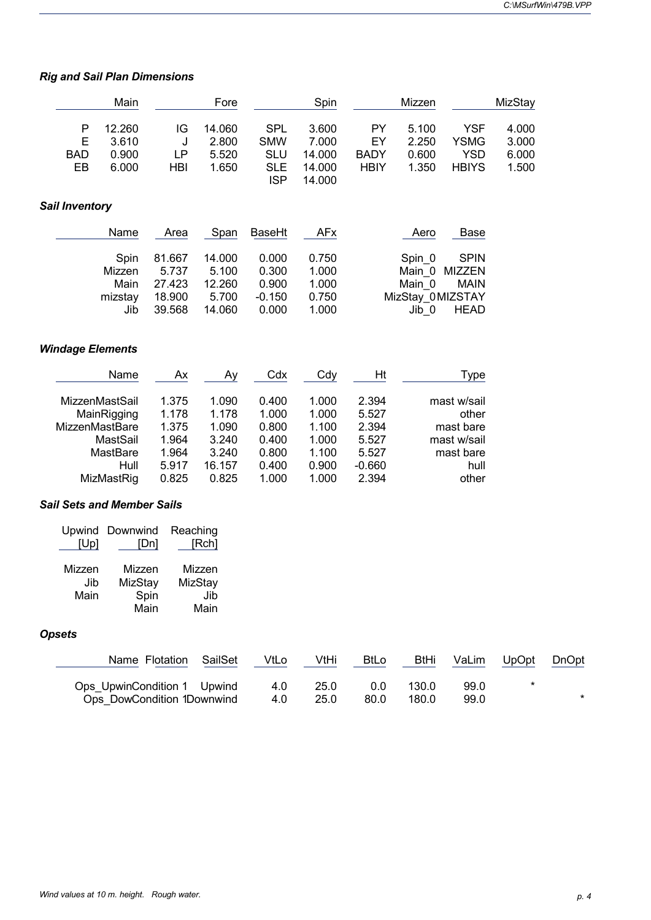## *Rig and Sail Plan Dimensions*

|                       |                       | Main                                                                                          |                                                             | Fore                                                         |                                                             | Spin                                                        |                                                                | Mizzen                                                    |                                                                                | MizStay                 |       |
|-----------------------|-----------------------|-----------------------------------------------------------------------------------------------|-------------------------------------------------------------|--------------------------------------------------------------|-------------------------------------------------------------|-------------------------------------------------------------|----------------------------------------------------------------|-----------------------------------------------------------|--------------------------------------------------------------------------------|-------------------------|-------|
|                       | P<br>Ε<br><b>BAD</b>  | 12.260<br>3.610<br>0.900                                                                      | IG<br>J<br>LP                                               | 14.060<br>2.800<br>5.520                                     | <b>SPL</b><br><b>SMW</b><br><b>SLU</b>                      | 3.600<br>7.000<br>14.000                                    | PY<br>EY<br><b>BADY</b>                                        | 5.100<br>2.250<br>0.600                                   | <b>YSF</b><br><b>YSMG</b><br><b>YSD</b>                                        | 4.000<br>3.000<br>6.000 |       |
|                       | EB                    | 6.000                                                                                         | HBI                                                         | 1.650                                                        | <b>SLE</b><br><b>ISP</b>                                    | 14.000<br>14.000                                            | <b>HBIY</b>                                                    | 1.350                                                     | <b>HBIYS</b>                                                                   | 1.500                   |       |
| <b>Sail Inventory</b> |                       |                                                                                               |                                                             |                                                              |                                                             |                                                             |                                                                |                                                           |                                                                                |                         |       |
|                       |                       | Name                                                                                          | Area                                                        | Span                                                         | BaseHt                                                      | AFx                                                         |                                                                | Aero                                                      | <b>Base</b>                                                                    |                         |       |
|                       |                       | Spin<br>Mizzen<br>Main<br>mizstay<br>Jib                                                      | 81.667<br>5.737<br>27.423<br>18.900<br>39.568               | 14.000<br>5.100<br>12.260<br>5.700<br>14.060                 | 0.000<br>0.300<br>0.900<br>$-0.150$<br>0.000                | 0.750<br>1.000<br>1.000<br>0.750<br>1.000                   |                                                                | Spin_0<br>Main_0<br>Main_0<br>MizStay_0MIZSTAY<br>$Jib_0$ | <b>SPIN</b><br><b>MIZZEN</b><br><b>MAIN</b><br><b>HEAD</b>                     |                         |       |
|                       |                       | <b>Windage Elements</b>                                                                       |                                                             |                                                              |                                                             |                                                             |                                                                |                                                           |                                                                                |                         |       |
|                       |                       | Name                                                                                          | Ax                                                          | <u>Ay</u>                                                    | Cdx                                                         | Cdy                                                         | Ht                                                             |                                                           | <u>Type</u>                                                                    |                         |       |
|                       |                       | MizzenMastSail<br>MainRigging<br>MizzenMastBare<br>MastSail<br>MastBare<br>Hull<br>MizMastRig | 1.375<br>1.178<br>1.375<br>1.964<br>1.964<br>5.917<br>0.825 | 1.090<br>1.178<br>1.090<br>3.240<br>3.240<br>16.157<br>0.825 | 0.400<br>1.000<br>0.800<br>0.400<br>0.800<br>0.400<br>1.000 | 1.000<br>1.000<br>1.100<br>1.000<br>1.100<br>0.900<br>1.000 | 2.394<br>5.527<br>2.394<br>5.527<br>5.527<br>$-0.660$<br>2.394 |                                                           | mast w/sail<br>other<br>mast bare<br>mast w/sail<br>mast bare<br>hull<br>other |                         |       |
|                       |                       | <b>Sail Sets and Member Sails</b>                                                             |                                                             |                                                              |                                                             |                                                             |                                                                |                                                           |                                                                                |                         |       |
|                       | Upwind<br>[Up]        | Downwind                                                                                      | Reaching<br>[Dn]                                            | [Rch]                                                        |                                                             |                                                             |                                                                |                                                           |                                                                                |                         |       |
|                       | Mizzen<br>Jib<br>Main | Mizzen<br>MizStay                                                                             | Spin<br>Main                                                | Mizzen<br>MizStay<br>Jib<br>Main                             |                                                             |                                                             |                                                                |                                                           |                                                                                |                         |       |
| <b>Opsets</b>         |                       |                                                                                               |                                                             |                                                              |                                                             |                                                             |                                                                |                                                           |                                                                                |                         |       |
|                       |                       |                                                                                               | Name Flotation                                              | SailSet                                                      | VtLo                                                        | VtHi                                                        | <b>BtLo</b>                                                    | <b>BtHi</b>                                               | VaLim                                                                          | UpOpt                   | DnOpt |
|                       |                       | Ops UpwinCondition 1                                                                          | Ops_DowCondition 1Downwind                                  | Upwind                                                       | 4.0<br>4.0                                                  | 25.0<br>25.0                                                | 0.0<br>80.0                                                    | 130.0<br>180.0                                            | 99.0<br>99.0                                                                   | *                       | ź     |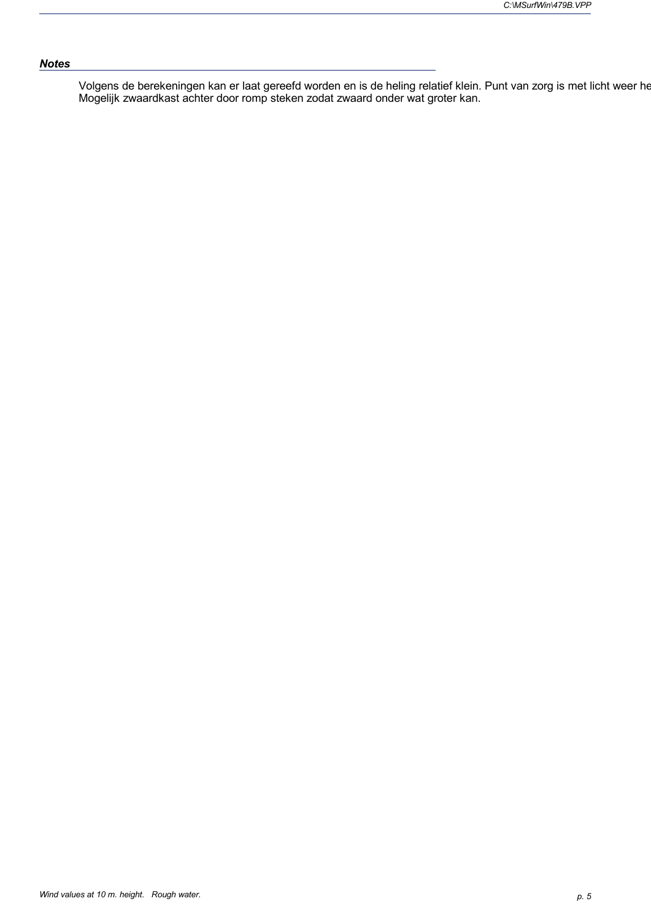## *Notes*

Volgens de berekeningen kan er laat gereefd worden en is de heling relatief klein. Punt van zorg is met licht weer he Mogelijk zwaardkast achter door romp steken zodat zwaard onder wat groter kan.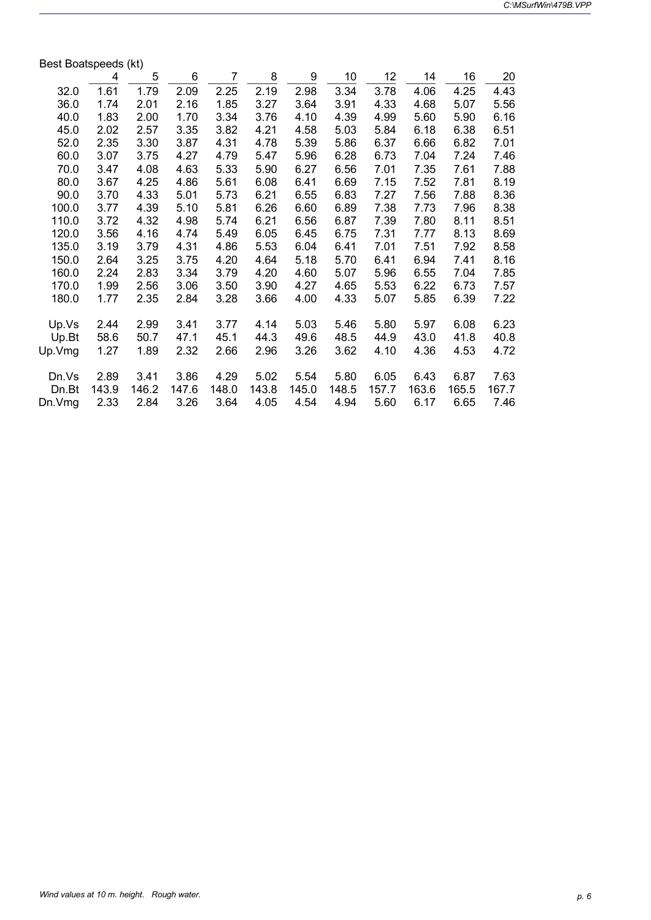| Best Boatspeeds (kt) |       |       |       |                |       |       |       |       |       |       |       |
|----------------------|-------|-------|-------|----------------|-------|-------|-------|-------|-------|-------|-------|
|                      | 4     | 5     | 6     | $\overline{7}$ | 8     | 9     | 10    | 12    | 14    | 16    | 20    |
| 32.0                 | 1.61  | 1.79  | 2.09  | 2.25           | 2.19  | 2.98  | 3.34  | 3.78  | 4.06  | 4.25  | 4.43  |
| 36.0                 | 1.74  | 2.01  | 2.16  | 1.85           | 3.27  | 3.64  | 3.91  | 4.33  | 4.68  | 5.07  | 5.56  |
| 40.0                 | 1.83  | 2.00  | 1.70  | 3.34           | 3.76  | 4.10  | 4.39  | 4.99  | 5.60  | 5.90  | 6.16  |
| 45.0                 | 2.02  | 2.57  | 3.35  | 3.82           | 4.21  | 4.58  | 5.03  | 5.84  | 6.18  | 6.38  | 6.51  |
| 52.0                 | 2.35  | 3.30  | 3.87  | 4.31           | 4.78  | 5.39  | 5.86  | 6.37  | 6.66  | 6.82  | 7.01  |
| 60.0                 | 3.07  | 3.75  | 4.27  | 4.79           | 5.47  | 5.96  | 6.28  | 6.73  | 7.04  | 7.24  | 7.46  |
| 70.0                 | 3.47  | 4.08  | 4.63  | 5.33           | 5.90  | 6.27  | 6.56  | 7.01  | 7.35  | 7.61  | 7.88  |
| 80.0                 | 3.67  | 4.25  | 4.86  | 5.61           | 6.08  | 6.41  | 6.69  | 7.15  | 7.52  | 7.81  | 8.19  |
| 90.0                 | 3.70  | 4.33  | 5.01  | 5.73           | 6.21  | 6.55  | 6.83  | 7.27  | 7.56  | 7.88  | 8.36  |
| 100.0                | 3.77  | 4.39  | 5.10  | 5.81           | 6.26  | 6.60  | 6.89  | 7.38  | 7.73  | 7.96  | 8.38  |
| 110.0                | 3.72  | 4.32  | 4.98  | 5.74           | 6.21  | 6.56  | 6.87  | 7.39  | 7.80  | 8.11  | 8.51  |
| 120.0                | 3.56  | 4.16  | 4.74  | 5.49           | 6.05  | 6.45  | 6.75  | 7.31  | 7.77  | 8.13  | 8.69  |
| 135.0                | 3.19  | 3.79  | 4.31  | 4.86           | 5.53  | 6.04  | 6.41  | 7.01  | 7.51  | 7.92  | 8.58  |
| 150.0                | 2.64  | 3.25  | 3.75  | 4.20           | 4.64  | 5.18  | 5.70  | 6.41  | 6.94  | 7.41  | 8.16  |
| 160.0                | 2.24  | 2.83  | 3.34  | 3.79           | 4.20  | 4.60  | 5.07  | 5.96  | 6.55  | 7.04  | 7.85  |
| 170.0                | 1.99  | 2.56  | 3.06  | 3.50           | 3.90  | 4.27  | 4.65  | 5.53  | 6.22  | 6.73  | 7.57  |
| 180.0                | 1.77  | 2.35  | 2.84  | 3.28           | 3.66  | 4.00  | 4.33  | 5.07  | 5.85  | 6.39  | 7.22  |
| Up.Vs                | 2.44  | 2.99  | 3.41  | 3.77           | 4.14  | 5.03  | 5.46  | 5.80  | 5.97  | 6.08  | 6.23  |
| Up.Bt                | 58.6  | 50.7  | 47.1  | 45.1           | 44.3  | 49.6  | 48.5  | 44.9  | 43.0  | 41.8  | 40.8  |
| Up.Vmg               | 1.27  | 1.89  | 2.32  | 2.66           | 2.96  | 3.26  | 3.62  | 4.10  | 4.36  | 4.53  | 4.72  |
|                      |       |       |       |                |       |       |       |       |       |       |       |
| Dn.Vs                | 2.89  | 3.41  | 3.86  | 4.29           | 5.02  | 5.54  | 5.80  | 6.05  | 6.43  | 6.87  | 7.63  |
| Dn.Bt                | 143.9 | 146.2 | 147.6 | 148.0          | 143.8 | 145.0 | 148.5 | 157.7 | 163.6 | 165.5 | 167.7 |
| Dn.Vmg               | 2.33  | 2.84  | 3.26  | 3.64           | 4.05  | 4.54  | 4.94  | 5.60  | 6.17  | 6.65  | 7.46  |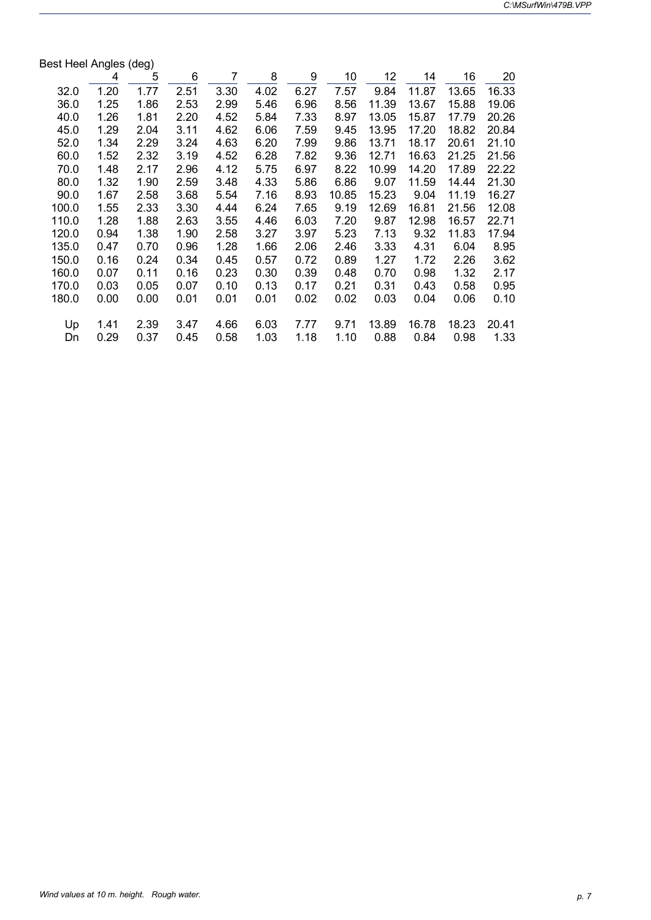| Best Heel Angles (deg) |      |      |      |      |      |      |       |       |       |       |       |
|------------------------|------|------|------|------|------|------|-------|-------|-------|-------|-------|
|                        | 4    | 5    | 6    | 7    | 8    | 9    | 10    | 12    | 14    | 16    | 20    |
| 32.0                   | 1.20 | 1.77 | 2.51 | 3.30 | 4.02 | 6.27 | 7.57  | 9.84  | 11.87 | 13.65 | 16.33 |
| 36.0                   | 1.25 | 1.86 | 2.53 | 2.99 | 5.46 | 6.96 | 8.56  | 11.39 | 13.67 | 15.88 | 19.06 |
| 40.0                   | 1.26 | 1.81 | 2.20 | 4.52 | 5.84 | 7.33 | 8.97  | 13.05 | 15.87 | 17.79 | 20.26 |
| 45.0                   | 1.29 | 2.04 | 3.11 | 4.62 | 6.06 | 7.59 | 9.45  | 13.95 | 17.20 | 18.82 | 20.84 |
| 52.0                   | 1.34 | 2.29 | 3.24 | 4.63 | 6.20 | 7.99 | 9.86  | 13.71 | 18.17 | 20.61 | 21.10 |
| 60.0                   | 1.52 | 2.32 | 3.19 | 4.52 | 6.28 | 7.82 | 9.36  | 12.71 | 16.63 | 21.25 | 21.56 |
| 70.0                   | 1.48 | 2.17 | 2.96 | 4.12 | 5.75 | 6.97 | 8.22  | 10.99 | 14.20 | 17.89 | 22.22 |
| 80.0                   | 1.32 | 1.90 | 2.59 | 3.48 | 4.33 | 5.86 | 6.86  | 9.07  | 11.59 | 14.44 | 21.30 |
| 90.0                   | 1.67 | 2.58 | 3.68 | 5.54 | 7.16 | 8.93 | 10.85 | 15.23 | 9.04  | 11.19 | 16.27 |
| 100.0                  | 1.55 | 2.33 | 3.30 | 4.44 | 6.24 | 7.65 | 9.19  | 12.69 | 16.81 | 21.56 | 12.08 |
| 110.0                  | 1.28 | 1.88 | 2.63 | 3.55 | 4.46 | 6.03 | 7.20  | 9.87  | 12.98 | 16.57 | 22.71 |
| 120.0                  | 0.94 | 1.38 | 1.90 | 2.58 | 3.27 | 3.97 | 5.23  | 7.13  | 9.32  | 11.83 | 17.94 |
| 135.0                  | 0.47 | 0.70 | 0.96 | 1.28 | 1.66 | 2.06 | 2.46  | 3.33  | 4.31  | 6.04  | 8.95  |
| 150.0                  | 0.16 | 0.24 | 0.34 | 0.45 | 0.57 | 0.72 | 0.89  | 1.27  | 1.72  | 2.26  | 3.62  |
| 160.0                  | 0.07 | 0.11 | 0.16 | 0.23 | 0.30 | 0.39 | 0.48  | 0.70  | 0.98  | 1.32  | 2.17  |
| 170.0                  | 0.03 | 0.05 | 0.07 | 0.10 | 0.13 | 0.17 | 0.21  | 0.31  | 0.43  | 0.58  | 0.95  |
| 180.0                  | 0.00 | 0.00 | 0.01 | 0.01 | 0.01 | 0.02 | 0.02  | 0.03  | 0.04  | 0.06  | 0.10  |
| Up                     | 1.41 | 2.39 | 3.47 | 4.66 | 6.03 | 7.77 | 9.71  | 13.89 | 16.78 | 18.23 | 20.41 |
| Dn                     | 0.29 | 0.37 | 0.45 | 0.58 | 1.03 | 1.18 | 1.10  | 0.88  | 0.84  | 0.98  | 1.33  |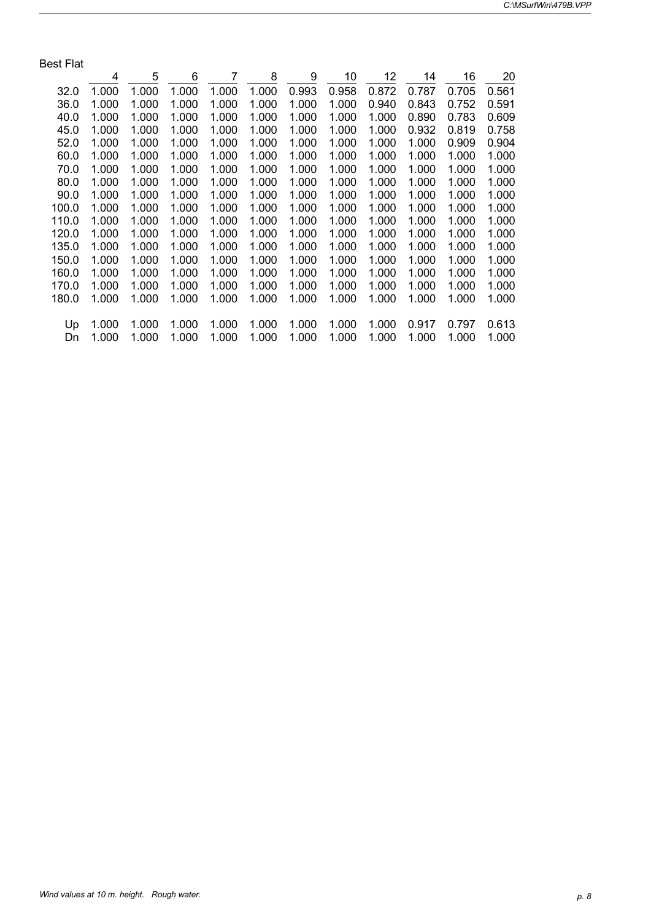| <b>Best Flat</b> |       |       |       |                |       |       |       |       |       |       |       |
|------------------|-------|-------|-------|----------------|-------|-------|-------|-------|-------|-------|-------|
|                  | 4     | 5     | 6     | $\overline{7}$ | 8     | 9     | 10    | 12    | 14    | 16    | 20    |
| 32.0             | 1.000 | 1.000 | 1.000 | 1.000          | 1.000 | 0.993 | 0.958 | 0.872 | 0.787 | 0.705 | 0.561 |
| 36.0             | 1.000 | 1.000 | 1.000 | 1.000          | 1.000 | 1.000 | 1.000 | 0.940 | 0.843 | 0.752 | 0.591 |
| 40.0             | 1.000 | 1.000 | 1.000 | 1.000          | 1.000 | 1.000 | 1.000 | 1.000 | 0.890 | 0.783 | 0.609 |
| 45.0             | 1.000 | 1.000 | 1.000 | 1.000          | 1.000 | 1.000 | 1.000 | 1.000 | 0.932 | 0.819 | 0.758 |
| 52.0             | 1.000 | 1.000 | 1.000 | 1.000          | 1.000 | 1.000 | 1.000 | 1.000 | 1.000 | 0.909 | 0.904 |
| 60.0             | 1.000 | 1.000 | 1.000 | 1.000          | 1.000 | 1.000 | 1.000 | 1.000 | 1.000 | 1.000 | 1.000 |
| 70.0             | 1.000 | 1.000 | 1.000 | 1.000          | 1.000 | 1.000 | 1.000 | 1.000 | 1.000 | 1.000 | 1.000 |
| 80.0             | 1.000 | 1.000 | 1.000 | 1.000          | 1.000 | 1.000 | 1.000 | 1.000 | 1.000 | 1.000 | 1.000 |
| 90.0             | 1.000 | 1.000 | 1.000 | 1.000          | 1.000 | 1.000 | 1.000 | 1.000 | 1.000 | 1.000 | 1.000 |
| 100.0            | 1.000 | 1.000 | 1.000 | 1.000          | 1.000 | 1.000 | 1.000 | 1.000 | 1.000 | 1.000 | 1.000 |
| 110.0            | 1.000 | 1.000 | 1.000 | 1.000          | 1.000 | 1.000 | 1.000 | 1.000 | 1.000 | 1.000 | 1.000 |
| 120.0            | 1.000 | 1.000 | 1.000 | 1.000          | 1.000 | 1.000 | 1.000 | 1.000 | 1.000 | 1.000 | 1.000 |
| 135.0            | 1.000 | 1.000 | 1.000 | 1.000          | 1.000 | 1.000 | 1.000 | 1.000 | 1.000 | 1.000 | 1.000 |
| 150.0            | 1.000 | 1.000 | 1.000 | 1.000          | 1.000 | 1.000 | 1.000 | 1.000 | 1.000 | 1.000 | 1.000 |
| 160.0            | 1.000 | 1.000 | 1.000 | 1.000          | 1.000 | 1.000 | 1.000 | 1.000 | 1.000 | 1.000 | 1.000 |
| 170.0            | 1.000 | 1.000 | 1.000 | 1.000          | 1.000 | 1.000 | 1.000 | 1.000 | 1.000 | 1.000 | 1.000 |
| 180.0            | 1.000 | 1.000 | 1.000 | 1.000          | 1.000 | 1.000 | 1.000 | 1.000 | 1.000 | 1.000 | 1.000 |
|                  |       |       |       |                |       |       |       |       |       |       |       |
| Up               | 1.000 | 1.000 | 1.000 | 1.000          | 1.000 | 1.000 | 1.000 | 1.000 | 0.917 | 0.797 | 0.613 |
| Dn               | 1.000 | 1.000 | 1.000 | 1.000          | 1.000 | 1.000 | 1.000 | 1.000 | 1.000 | 1.000 | 1.000 |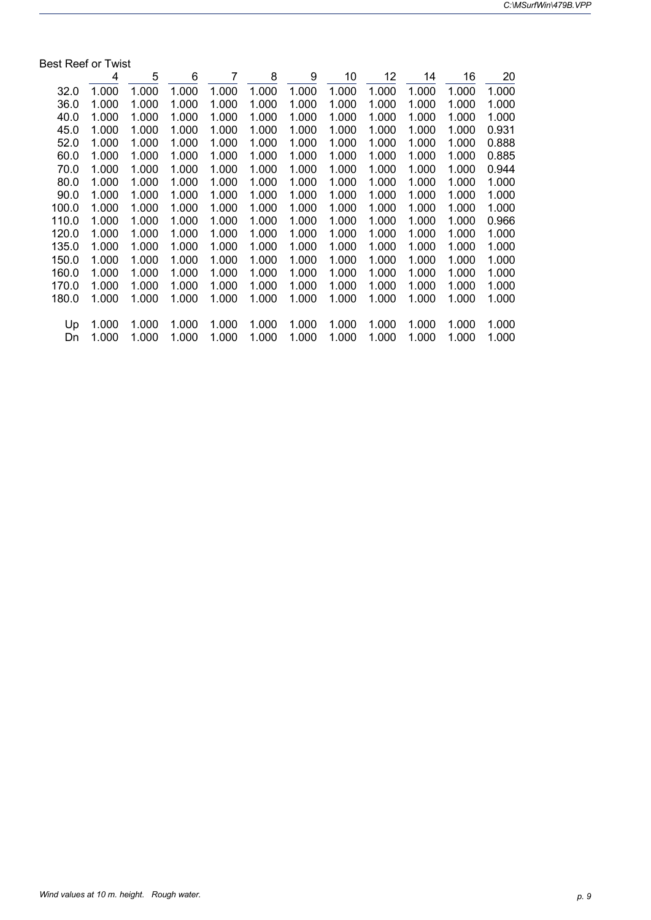| <b>Best Reef or Twist</b> |       |       |       |       |       |       |       |       |       |       |       |
|---------------------------|-------|-------|-------|-------|-------|-------|-------|-------|-------|-------|-------|
|                           | 4     | 5     | 6     | 7     | 8     | 9     | 10    | 12    | 14    | 16    | 20    |
| 32.0                      | 1.000 | 1.000 | 1.000 | 1.000 | 1.000 | 1.000 | 1.000 | 1.000 | 1.000 | 1.000 | 1.000 |
| 36.0                      | 1.000 | 1.000 | 1.000 | 1.000 | 1.000 | 1.000 | 1.000 | 1.000 | 1.000 | 1.000 | 1.000 |
| 40.0                      | 1.000 | 1.000 | 1.000 | 1.000 | 1.000 | 1.000 | 1.000 | 1.000 | 1.000 | 1.000 | 1.000 |
| 45.0                      | 1.000 | 1.000 | 1.000 | 1.000 | 1.000 | 1.000 | 1.000 | 1.000 | 1.000 | 1.000 | 0.931 |
| 52.0                      | 1.000 | 1.000 | 1.000 | 1.000 | 1.000 | 1.000 | 1.000 | 1.000 | 1.000 | 1.000 | 0.888 |
| 60.0                      | 1.000 | 1.000 | 1.000 | 1.000 | 1.000 | 1.000 | 1.000 | 1.000 | 1.000 | 1.000 | 0.885 |
| 70.0                      | 1.000 | 1.000 | 1.000 | 1.000 | 1.000 | 1.000 | 1.000 | 1.000 | 1.000 | 1.000 | 0.944 |
| 80.0                      | 1.000 | 1.000 | 1.000 | 1.000 | 1.000 | 1.000 | 1.000 | 1.000 | 1.000 | 1.000 | 1.000 |
| 90.0                      | 1.000 | 1.000 | 1.000 | 1.000 | 1.000 | 1.000 | 1.000 | 1.000 | 1.000 | 1.000 | 1.000 |
| 100.0                     | 1.000 | 1.000 | 1.000 | 1.000 | 1.000 | 1.000 | 1.000 | 1.000 | 1.000 | 1.000 | 1.000 |
| 110.0                     | 1.000 | 1.000 | 1.000 | 1.000 | 1.000 | 1.000 | 1.000 | 1.000 | 1.000 | 1.000 | 0.966 |
| 120.0                     | 1.000 | 1.000 | 1.000 | 1.000 | 1.000 | 1.000 | 1.000 | 1.000 | 1.000 | 1.000 | 1.000 |
| 135.0                     | 1.000 | 1.000 | 1.000 | 1.000 | 1.000 | 1.000 | 1.000 | 1.000 | 1.000 | 1.000 | 1.000 |
| 150.0                     | 1.000 | 1.000 | 1.000 | 1.000 | 1.000 | 1.000 | 1.000 | 1.000 | 1.000 | 1.000 | 1.000 |
| 160.0                     | 1.000 | 1.000 | 1.000 | 1.000 | 1.000 | 1.000 | 1.000 | 1.000 | 1.000 | 1.000 | 1.000 |
| 170.0                     | 1.000 | 1.000 | 1.000 | 1.000 | 1.000 | 1.000 | 1.000 | 1.000 | 1.000 | 1.000 | 1.000 |
| 180.0                     | 1.000 | 1.000 | 1.000 | 1.000 | 1.000 | 1.000 | 1.000 | 1.000 | 1.000 | 1.000 | 1.000 |
| Up                        | 1.000 | 1.000 | 1.000 | 1.000 | 1.000 | 1.000 | 1.000 | 1.000 | 1.000 | 1.000 | 1.000 |
| Dn                        | 1.000 | 1.000 | 1.000 | 1.000 | 1.000 | 1.000 | 1.000 | 1.000 | 1.000 | 1.000 | 1.000 |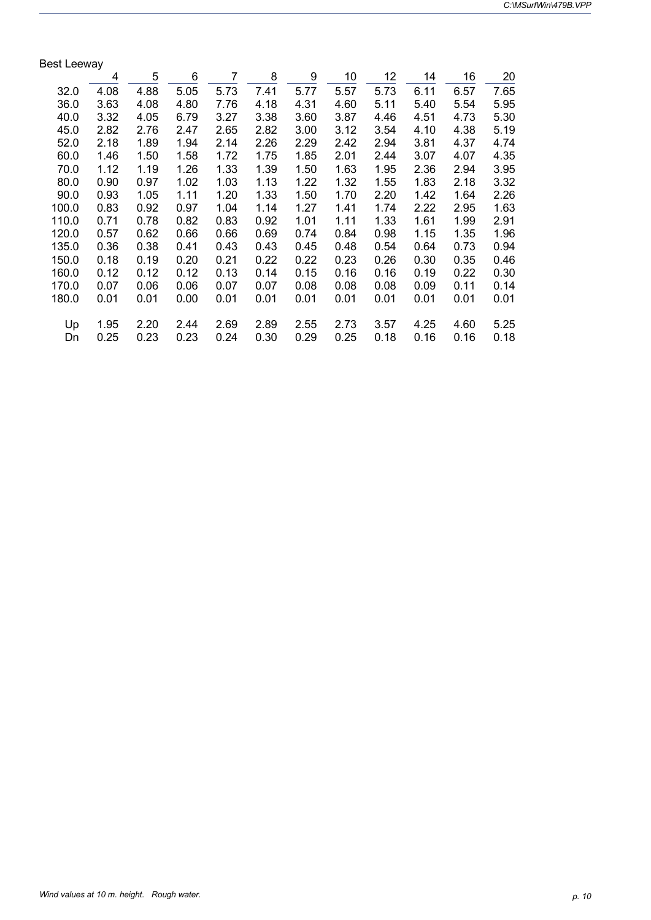| <b>Best Leeway</b> |      |      |      |                |      |      |      |      |      |      |      |
|--------------------|------|------|------|----------------|------|------|------|------|------|------|------|
|                    | 4    | 5    | 6    | $\overline{7}$ | 8    | 9    | 10   | 12   | 14   | 16   | 20   |
| 32.0               | 4.08 | 4.88 | 5.05 | 5.73           | 7.41 | 5.77 | 5.57 | 5.73 | 6.11 | 6.57 | 7.65 |
| 36.0               | 3.63 | 4.08 | 4.80 | 7.76           | 4.18 | 4.31 | 4.60 | 5.11 | 5.40 | 5.54 | 5.95 |
| 40.0               | 3.32 | 4.05 | 6.79 | 3.27           | 3.38 | 3.60 | 3.87 | 4.46 | 4.51 | 4.73 | 5.30 |
| 45.0               | 2.82 | 2.76 | 2.47 | 2.65           | 2.82 | 3.00 | 3.12 | 3.54 | 4.10 | 4.38 | 5.19 |
| 52.0               | 2.18 | 1.89 | 1.94 | 2.14           | 2.26 | 2.29 | 2.42 | 2.94 | 3.81 | 4.37 | 4.74 |
| 60.0               | 1.46 | 1.50 | 1.58 | 1.72           | 1.75 | 1.85 | 2.01 | 2.44 | 3.07 | 4.07 | 4.35 |
| 70.0               | 1.12 | 1.19 | 1.26 | 1.33           | 1.39 | 1.50 | 1.63 | 1.95 | 2.36 | 2.94 | 3.95 |
| 80.0               | 0.90 | 0.97 | 1.02 | 1.03           | 1.13 | 1.22 | 1.32 | 1.55 | 1.83 | 2.18 | 3.32 |
| 90.0               | 0.93 | 1.05 | 1.11 | 1.20           | 1.33 | 1.50 | 1.70 | 2.20 | 1.42 | 1.64 | 2.26 |
| 100.0              | 0.83 | 0.92 | 0.97 | 1.04           | 1.14 | 1.27 | 1.41 | 1.74 | 2.22 | 2.95 | 1.63 |
| 110.0              | 0.71 | 0.78 | 0.82 | 0.83           | 0.92 | 1.01 | 1.11 | 1.33 | 1.61 | 1.99 | 2.91 |
| 120.0              | 0.57 | 0.62 | 0.66 | 0.66           | 0.69 | 0.74 | 0.84 | 0.98 | 1.15 | 1.35 | 1.96 |
| 135.0              | 0.36 | 0.38 | 0.41 | 0.43           | 0.43 | 0.45 | 0.48 | 0.54 | 0.64 | 0.73 | 0.94 |
| 150.0              | 0.18 | 0.19 | 0.20 | 0.21           | 0.22 | 0.22 | 0.23 | 0.26 | 0.30 | 0.35 | 0.46 |
| 160.0              | 0.12 | 0.12 | 0.12 | 0.13           | 0.14 | 0.15 | 0.16 | 0.16 | 0.19 | 0.22 | 0.30 |
| 170.0              | 0.07 | 0.06 | 0.06 | 0.07           | 0.07 | 0.08 | 0.08 | 0.08 | 0.09 | 0.11 | 0.14 |
| 180.0              | 0.01 | 0.01 | 0.00 | 0.01           | 0.01 | 0.01 | 0.01 | 0.01 | 0.01 | 0.01 | 0.01 |
|                    |      |      |      |                |      |      |      |      |      |      |      |
| Up                 | 1.95 | 2.20 | 2.44 | 2.69           | 2.89 | 2.55 | 2.73 | 3.57 | 4.25 | 4.60 | 5.25 |
| Dn                 | 0.25 | 0.23 | 0.23 | 0.24           | 0.30 | 0.29 | 0.25 | 0.18 | 0.16 | 0.16 | 0.18 |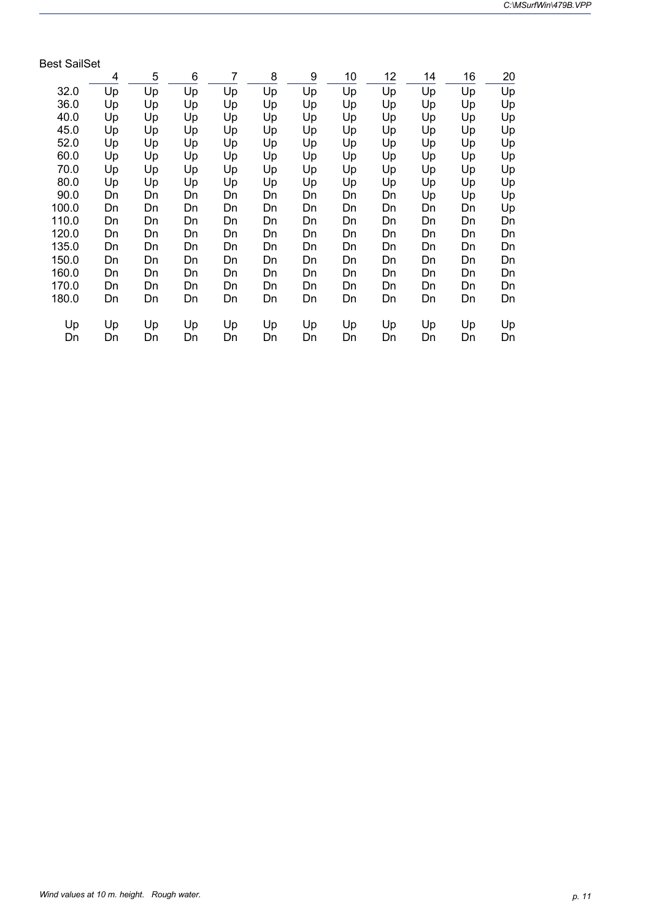| <b>Best SailSet</b> |    |    |    |                |    |    |    |    |    |    |    |
|---------------------|----|----|----|----------------|----|----|----|----|----|----|----|
|                     | 4  | 5  | 6  | $\overline{7}$ | 8  | 9  | 10 | 12 | 14 | 16 | 20 |
| 32.0                | Up | Up | Up | Up             | Up | Up | Up | Up | Up | Up | Up |
| 36.0                | Up | Up | Up | Up             | Up | Up | Up | Up | Up | Up | Up |
| 40.0                | Up | Up | Up | Up             | Up | Up | Up | Up | Up | Up | Up |
| 45.0                | Up | Up | Up | Up             | Up | Up | Up | Up | Up | Up | Up |
| 52.0                | Up | Up | Up | Up             | Up | Up | Up | Up | Up | Up | Up |
| 60.0                | Up | Up | Up | Up             | Up | Up | Up | Up | Up | Up | Up |
| 70.0                | Up | Up | Up | Up             | Up | Up | Up | Up | Up | Up | Up |
| 80.0                | Up | Up | Up | Up             | Up | Up | Up | Up | Up | Up | Up |
| 90.0                | Dn | Dn | Dn | Dn             | Dn | Dn | Dn | Dn | Up | Up | Up |
| 100.0               | Dn | Dn | Dn | Dn             | Dn | Dn | Dn | Dn | Dn | Dn | Up |
| 110.0               | Dn | Dn | Dn | Dn             | Dn | Dn | Dn | Dn | Dn | Dn | Dn |
| 120.0               | Dn | Dn | Dn | Dn             | Dn | Dn | Dn | Dn | Dn | Dn | Dn |
| 135.0               | Dn | Dn | Dn | Dn             | Dn | Dn | Dn | Dn | Dn | Dn | Dn |
| 150.0               | Dn | Dn | Dn | Dn             | Dn | Dn | Dn | Dn | Dn | Dn | Dn |
| 160.0               | Dn | Dn | Dn | Dn             | Dn | Dn | Dn | Dn | Dn | Dn | Dn |
| 170.0               | Dn | Dn | Dn | Dn             | Dn | Dn | Dn | Dn | Dn | Dn | Dn |
| 180.0               | Dn | Dn | Dn | Dn             | Dn | Dn | Dn | Dn | Dn | Dn | Dn |
| Up                  | Up | Up | Up | Up             | Up | Up | Up | Up | Up | Up | Up |
| Dn                  | Dn | Dn | Dn | Dn             | Dn | Dn | Dn | Dn | Dn | Dn | Dn |